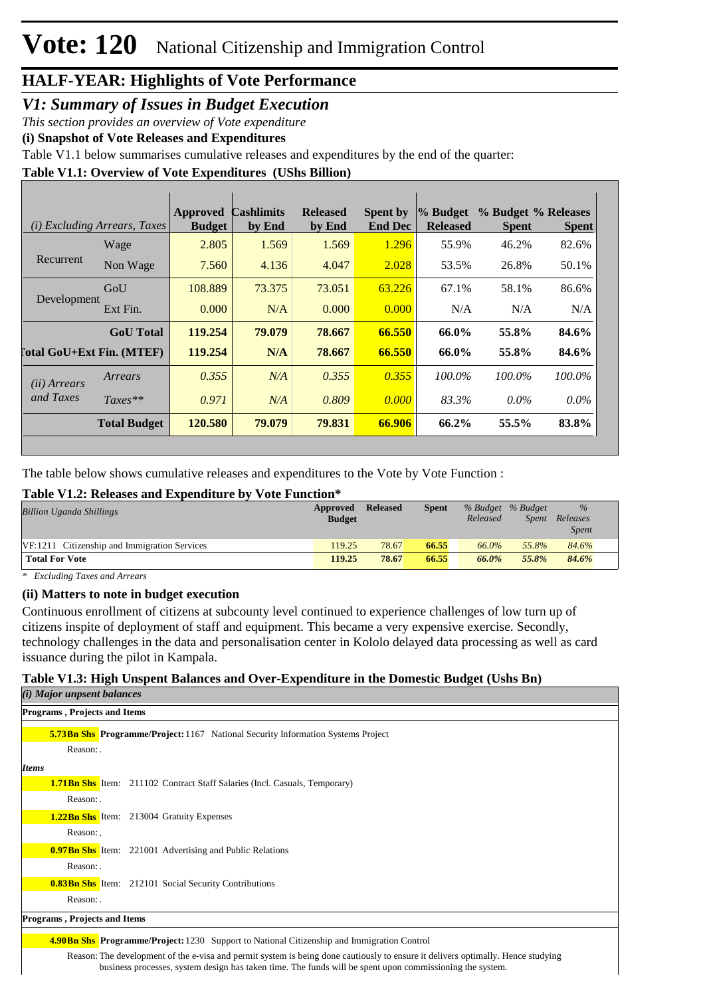### *V1: Summary of Issues in Budget Execution*

*This section provides an overview of Vote expenditure* 

**(i) Snapshot of Vote Releases and Expenditures**

Table V1.1 below summarises cumulative releases and expenditures by the end of the quarter:

#### **Table V1.1: Overview of Vote Expenditures (UShs Billion)**

|                            | (i) Excluding Arrears, Taxes | <b>Approved</b><br><b>Budget</b> | <b>Cashlimits</b><br>by End | <b>Released</b><br>by End | <b>Spent by</b><br><b>End Dec</b> | % Budget<br><b>Released</b> | % Budget % Releases<br><b>Spent</b> | <b>Spent</b> |
|----------------------------|------------------------------|----------------------------------|-----------------------------|---------------------------|-----------------------------------|-----------------------------|-------------------------------------|--------------|
|                            | Wage                         | 2.805                            | 1.569                       | 1.569                     | 1.296                             | 55.9%                       | 46.2%                               | 82.6%        |
| Recurrent                  | Non Wage                     | 7.560                            | 4.136                       | 4.047                     | 2.028                             | 53.5%                       | 26.8%                               | 50.1%        |
| Development                | GoU                          | 108.889                          | 73.375                      | 73.051                    | 63.226                            | 67.1%                       | 58.1%                               | 86.6%        |
|                            | Ext Fin.                     | 0.000                            | N/A                         | 0.000                     | 0.000                             | N/A                         | N/A                                 | N/A          |
|                            | <b>GoU</b> Total             | 119.254                          | 79,079                      | 78.667                    | 66.550                            | 66.0%                       | 55.8%                               | 84.6%        |
| [`otal GoU+Ext Fin. (MTEF) |                              | 119.254                          | N/A                         | 78.667                    | 66.550                            | 66.0%                       | 55.8%                               | 84.6%        |
| (ii) Arrears               | Arrears                      | 0.355                            | N/A                         | 0.355                     | 0.355                             | 100.0%                      | 100.0%                              | 100.0%       |
| and Taxes                  | $Taxes**$                    | 0.971                            | N/A                         | 0.809                     | 0.000                             | 83.3%                       | $0.0\%$                             | $0.0\%$      |
|                            | <b>Total Budget</b>          | 120.580                          | 79,079                      | 79.831                    | 66.906                            | 66.2%                       | 55.5%                               | 83.8%        |

The table below shows cumulative releases and expenditures to the Vote by Vote Function :

#### **Table V1.2: Releases and Expenditure by Vote Function\***

| <b>Billion Uganda Shillings</b>              | Approved<br><b>Budget</b> | Released | <b>Spent</b> | % Budget % Budget<br>Released | <i>Spent</i> | $\%$<br>Releases<br><b>Spent</b> |  |
|----------------------------------------------|---------------------------|----------|--------------|-------------------------------|--------------|----------------------------------|--|
| VF:1211 Citizenship and Immigration Services | 119.25                    | 78.67    | 66.55        | 66.0%                         | 55.8%        | 84.6%                            |  |
| <b>Total For Vote</b>                        | 119.25                    | 78.67    | 66.55        | 66.0%                         | 55.8%        | 84.6%                            |  |

*\* Excluding Taxes and Arrears*

#### **(ii) Matters to note in budget execution**

Continuous enrollment of citizens at subcounty level continued to experience challenges of low turn up of citizens inspite of deployment of staff and equipment. This became a very expensive exercise. Secondly, technology challenges in the data and personalisation center in Kololo delayed data processing as well as card issuance during the pilot in Kampala.

#### **Table V1.3: High Unspent Balances and Over-Expenditure in the Domestic Budget (Ushs Bn)**

| ( <i>i</i> ) Major unpsent balances                                                               |
|---------------------------------------------------------------------------------------------------|
| Programs, Projects and Items                                                                      |
| <b>5.73 Bn Shs Programme/Project:</b> 1167 National Security Information Systems Project          |
| Reason:                                                                                           |
| <b>Items</b>                                                                                      |
| <b>1.71 Bn Shs</b> Item: 211102 Contract Staff Salaries (Incl. Casuals, Temporary)                |
| Reason:                                                                                           |
| <b>1.22Bn Shs</b> Item: 213004 Gratuity Expenses                                                  |
| Reason:                                                                                           |
| <b>0.97Bn Shs</b> Item: 221001 Advertising and Public Relations                                   |
| Reason:                                                                                           |
| <b>0.83Bn Shs</b> Item: 212101 Social Security Contributions                                      |
| Reason:                                                                                           |
| Programs, Projects and Items                                                                      |
| <b>4.90Bn Shs Programme/Project:</b> 1230 Support to National Citizenship and Immigration Control |

Reason: The development of the e-visa and permit system is being done cautiously to ensure it delivers optimally. Hence studying business processes, system design has taken time. The funds will be spent upon commissioning the system.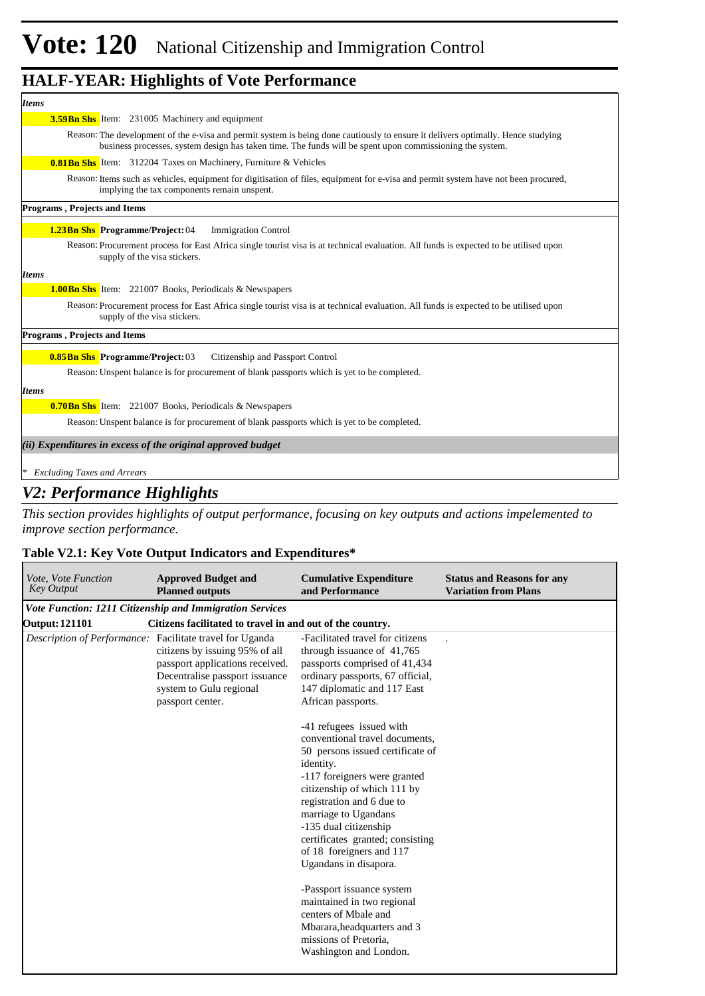| <b>Items</b>                                                                                                                                                                                                                                 |
|----------------------------------------------------------------------------------------------------------------------------------------------------------------------------------------------------------------------------------------------|
| <b>3.59Bn Shs</b> Item: 231005 Machinery and equipment                                                                                                                                                                                       |
| Reason: The development of the e-visa and permit system is being done cautiously to ensure it delivers optimally. Hence studying<br>business processes, system design has taken time. The funds will be spent upon commissioning the system. |
| <b>0.81 Bn Shs</b> Item: 312204 Taxes on Machinery, Furniture & Vehicles                                                                                                                                                                     |
| Reason: Items such as vehicles, equipment for digitisation of files, equipment for e-visa and permit system have not been procured,<br>implying the tax components remain unspent.                                                           |
| <b>Programs, Projects and Items</b>                                                                                                                                                                                                          |
| <b>1.23Bn Shs Programme/Project: 04</b><br><b>Immigration Control</b>                                                                                                                                                                        |
| Reason: Procurement process for East Africa single tourist visa is at technical evaluation. All funds is expected to be utilised upon<br>supply of the visa stickers.                                                                        |
| <b>Items</b>                                                                                                                                                                                                                                 |
| <b>1.00 Bn Shs</b> Item: 221007 Books, Periodicals & Newspapers                                                                                                                                                                              |
| Reason: Procurement process for East Africa single tourist visa is at technical evaluation. All funds is expected to be utilised upon<br>supply of the visa stickers.                                                                        |
| <b>Programs, Projects and Items</b>                                                                                                                                                                                                          |
| <b>0.85Bn Shs Programme/Project: 03</b><br>Citizenship and Passport Control                                                                                                                                                                  |
| Reason: Unspent balance is for procurement of blank passports which is yet to be completed.                                                                                                                                                  |
| <b>Items</b>                                                                                                                                                                                                                                 |
| <b>0.70 Bn Shs</b> Item: 221007 Books, Periodicals & Newspapers                                                                                                                                                                              |
| Reason: Unspent balance is for procurement of blank passports which is yet to be completed.                                                                                                                                                  |
| (ii) Expenditures in excess of the original approved budget                                                                                                                                                                                  |
| <b>Excluding Taxes and Arrears</b>                                                                                                                                                                                                           |

## *V2: Performance Highlights*

*This section provides highlights of output performance, focusing on key outputs and actions impelemented to improve section performance.*

#### **Table V2.1: Key Vote Output Indicators and Expenditures\***

| Vote, Vote Function<br><b>Key Output</b> | <b>Approved Budget and</b><br><b>Planned outputs</b>                                                                                                                               | <b>Cumulative Expenditure</b><br>and Performance                                                                                                                                                                                                                                                                                                                                                                                                                                                                                                                                                                                                                                         | <b>Status and Reasons for any</b><br><b>Variation from Plans</b> |
|------------------------------------------|------------------------------------------------------------------------------------------------------------------------------------------------------------------------------------|------------------------------------------------------------------------------------------------------------------------------------------------------------------------------------------------------------------------------------------------------------------------------------------------------------------------------------------------------------------------------------------------------------------------------------------------------------------------------------------------------------------------------------------------------------------------------------------------------------------------------------------------------------------------------------------|------------------------------------------------------------------|
|                                          | Vote Function: 1211 Citizenship and Immigration Services                                                                                                                           |                                                                                                                                                                                                                                                                                                                                                                                                                                                                                                                                                                                                                                                                                          |                                                                  |
| <b>Output: 121101</b>                    | Citizens facilitated to travel in and out of the country.                                                                                                                          |                                                                                                                                                                                                                                                                                                                                                                                                                                                                                                                                                                                                                                                                                          |                                                                  |
| Description of Performance:              | Facilitate travel for Uganda<br>citizens by issuing 95% of all<br>passport applications received.<br>Decentralise passport issuance<br>system to Gulu regional<br>passport center. | -Facilitated travel for citizens<br>through issuance of 41,765<br>passports comprised of 41,434<br>ordinary passports, 67 official,<br>147 diplomatic and 117 East<br>African passports.<br>-41 refugees issued with<br>conventional travel documents,<br>50 persons issued certificate of<br>identity.<br>-117 foreigners were granted<br>citizenship of which 111 by<br>registration and 6 due to<br>marriage to Ugandans<br>-135 dual citizenship<br>certificates granted; consisting<br>of 18 foreigners and 117<br>Ugandans in disapora.<br>-Passport issuance system<br>maintained in two regional<br>centers of Mbale and<br>Mbarara, headquarters and 3<br>missions of Pretoria. |                                                                  |
|                                          |                                                                                                                                                                                    | Washington and London.                                                                                                                                                                                                                                                                                                                                                                                                                                                                                                                                                                                                                                                                   |                                                                  |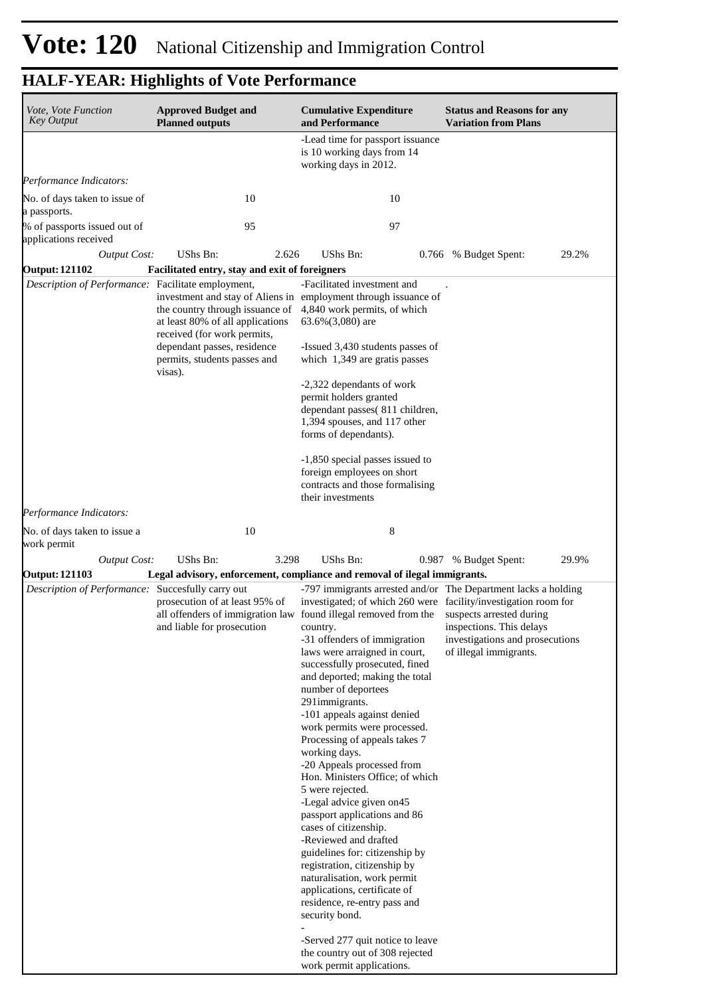| Vote, Vote Function<br>Key Output                                                                                                                                                                                                                                                          | <b>Approved Budget and</b><br><b>Planned outputs</b>                                               | <b>Cumulative Expenditure</b><br>and Performance                                                                                                                                                                                                                                                                                                                                                                                                                                                                                                                                                                                                                                                                                                                  | <b>Status and Reasons for any</b><br><b>Variation from Plans</b>                                                                                                                    |
|--------------------------------------------------------------------------------------------------------------------------------------------------------------------------------------------------------------------------------------------------------------------------------------------|----------------------------------------------------------------------------------------------------|-------------------------------------------------------------------------------------------------------------------------------------------------------------------------------------------------------------------------------------------------------------------------------------------------------------------------------------------------------------------------------------------------------------------------------------------------------------------------------------------------------------------------------------------------------------------------------------------------------------------------------------------------------------------------------------------------------------------------------------------------------------------|-------------------------------------------------------------------------------------------------------------------------------------------------------------------------------------|
|                                                                                                                                                                                                                                                                                            |                                                                                                    | -Lead time for passport issuance<br>is 10 working days from 14<br>working days in 2012.                                                                                                                                                                                                                                                                                                                                                                                                                                                                                                                                                                                                                                                                           |                                                                                                                                                                                     |
| Performance Indicators:                                                                                                                                                                                                                                                                    |                                                                                                    |                                                                                                                                                                                                                                                                                                                                                                                                                                                                                                                                                                                                                                                                                                                                                                   |                                                                                                                                                                                     |
| No. of days taken to issue of<br>a passports.                                                                                                                                                                                                                                              | 10                                                                                                 | 10                                                                                                                                                                                                                                                                                                                                                                                                                                                                                                                                                                                                                                                                                                                                                                |                                                                                                                                                                                     |
| % of passports issued out of<br>applications received                                                                                                                                                                                                                                      | 95                                                                                                 | 97                                                                                                                                                                                                                                                                                                                                                                                                                                                                                                                                                                                                                                                                                                                                                                |                                                                                                                                                                                     |
| <b>Output Cost:</b>                                                                                                                                                                                                                                                                        | UShs Bn:<br>2.626                                                                                  | UShs Bn:                                                                                                                                                                                                                                                                                                                                                                                                                                                                                                                                                                                                                                                                                                                                                          | 29.2%<br>0.766 % Budget Spent:                                                                                                                                                      |
| <b>Output: 121102</b>                                                                                                                                                                                                                                                                      | Facilitated entry, stay and exit of foreigners                                                     |                                                                                                                                                                                                                                                                                                                                                                                                                                                                                                                                                                                                                                                                                                                                                                   |                                                                                                                                                                                     |
| Description of Performance: Facilitate employment,                                                                                                                                                                                                                                         | the country through issuance of<br>at least 80% of all applications<br>received (for work permits, | -Facilitated investment and<br>investment and stay of Aliens in employment through issuance of<br>4,840 work permits, of which<br>$63.6\%(3,080)$ are                                                                                                                                                                                                                                                                                                                                                                                                                                                                                                                                                                                                             |                                                                                                                                                                                     |
|                                                                                                                                                                                                                                                                                            | dependant passes, residence<br>permits, students passes and<br>visas).                             | -Issued 3,430 students passes of<br>which 1,349 are gratis passes                                                                                                                                                                                                                                                                                                                                                                                                                                                                                                                                                                                                                                                                                                 |                                                                                                                                                                                     |
|                                                                                                                                                                                                                                                                                            |                                                                                                    | -2,322 dependants of work<br>permit holders granted<br>dependant passes(811 children,<br>1,394 spouses, and 117 other<br>forms of dependants).                                                                                                                                                                                                                                                                                                                                                                                                                                                                                                                                                                                                                    |                                                                                                                                                                                     |
|                                                                                                                                                                                                                                                                                            |                                                                                                    | -1,850 special passes issued to<br>foreign employees on short<br>contracts and those formalising<br>their investments                                                                                                                                                                                                                                                                                                                                                                                                                                                                                                                                                                                                                                             |                                                                                                                                                                                     |
| Performance Indicators:                                                                                                                                                                                                                                                                    |                                                                                                    |                                                                                                                                                                                                                                                                                                                                                                                                                                                                                                                                                                                                                                                                                                                                                                   |                                                                                                                                                                                     |
| No. of days taken to issue a<br>work permit                                                                                                                                                                                                                                                | 10                                                                                                 | 8                                                                                                                                                                                                                                                                                                                                                                                                                                                                                                                                                                                                                                                                                                                                                                 |                                                                                                                                                                                     |
| <b>Output Cost:</b>                                                                                                                                                                                                                                                                        | UShs Bn:<br>3.298                                                                                  | UShs Bn:                                                                                                                                                                                                                                                                                                                                                                                                                                                                                                                                                                                                                                                                                                                                                          | 29.9%<br>0.987 % Budget Spent:                                                                                                                                                      |
|                                                                                                                                                                                                                                                                                            |                                                                                                    |                                                                                                                                                                                                                                                                                                                                                                                                                                                                                                                                                                                                                                                                                                                                                                   |                                                                                                                                                                                     |
| <b>Output: 121103</b><br>Legal advisory, enforcement, compliance and removal of ilegal immigrants.<br>Description of Performance: Succesfully carry out<br>prosecution of at least 95% of<br>all offenders of immigration law found illegal removed from the<br>and liable for prosecution |                                                                                                    | investigated; of which 260 were facility/investigation room for<br>country.<br>-31 offenders of immigration<br>laws were arraigned in court,<br>successfully prosecuted, fined<br>and deported; making the total<br>number of deportees<br>291immigrants.<br>-101 appeals against denied<br>work permits were processed.<br>Processing of appeals takes 7<br>working days.<br>-20 Appeals processed from<br>Hon. Ministers Office; of which<br>5 were rejected.<br>-Legal advice given on 45<br>passport applications and 86<br>cases of citizenship.<br>-Reviewed and drafted<br>guidelines for: citizenship by<br>registration, citizenship by<br>naturalisation, work permit<br>applications, certificate of<br>residence, re-entry pass and<br>security bond. | -797 immigrants arrested and/or The Department lacks a holding<br>suspects arrested during<br>inspections. This delays<br>investigations and prosecutions<br>of illegal immigrants. |
|                                                                                                                                                                                                                                                                                            |                                                                                                    | -Served 277 quit notice to leave<br>the country out of 308 rejected<br>work permit applications.                                                                                                                                                                                                                                                                                                                                                                                                                                                                                                                                                                                                                                                                  |                                                                                                                                                                                     |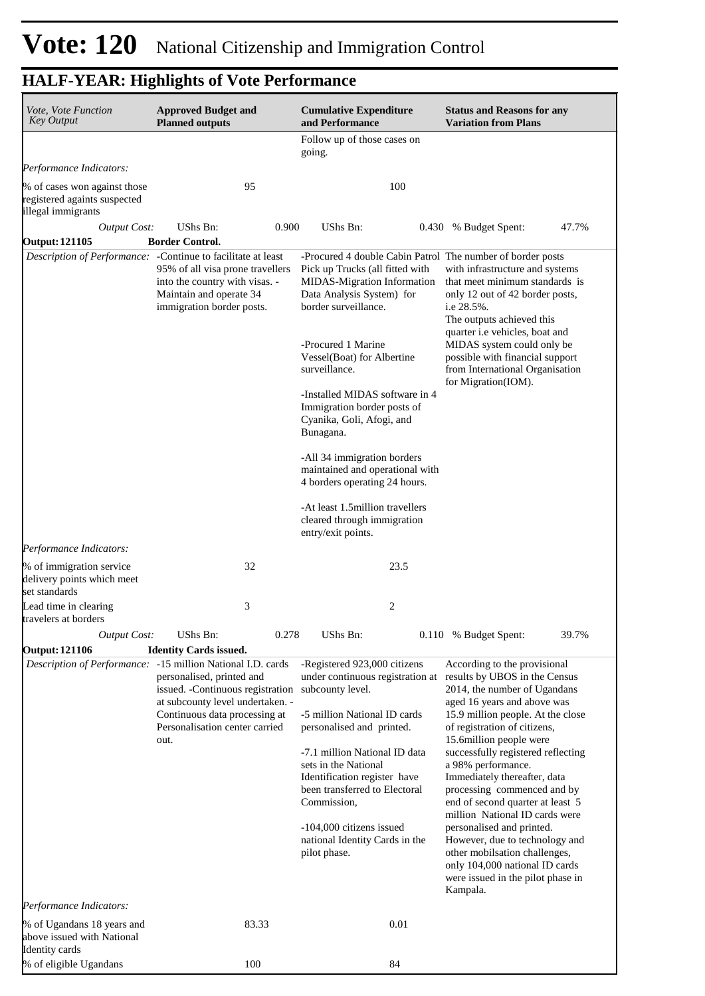| Vote, Vote Function<br><b>Key Output</b>                                           | <b>Approved Budget and</b><br><b>Planned outputs</b>                                                                                                              |                                                                                                                                       | <b>Status and Reasons for any</b><br><b>Variation from Plans</b>                                                                                                                              |  |  |
|------------------------------------------------------------------------------------|-------------------------------------------------------------------------------------------------------------------------------------------------------------------|---------------------------------------------------------------------------------------------------------------------------------------|-----------------------------------------------------------------------------------------------------------------------------------------------------------------------------------------------|--|--|
|                                                                                    |                                                                                                                                                                   | Follow up of those cases on<br>going.                                                                                                 |                                                                                                                                                                                               |  |  |
| Performance Indicators:                                                            |                                                                                                                                                                   |                                                                                                                                       |                                                                                                                                                                                               |  |  |
| % of cases won against those<br>registered againts suspected<br>illegal immigrants | 95                                                                                                                                                                | 100                                                                                                                                   |                                                                                                                                                                                               |  |  |
| <b>Output Cost:</b>                                                                | UShs Bn:<br>0.900                                                                                                                                                 | UShs Bn:                                                                                                                              | 0.430 % Budget Spent:<br>47.7%                                                                                                                                                                |  |  |
| <b>Output: 121105</b>                                                              | <b>Border Control.</b><br>Description of Performance: - Continue to facilitate at least                                                                           | -Procured 4 double Cabin Patrol The number of border posts                                                                            |                                                                                                                                                                                               |  |  |
|                                                                                    | 95% of all visa prone travellers<br>into the country with visas. -<br>Maintain and operate 34<br>immigration border posts.                                        | Pick up Trucks (all fitted with<br>MIDAS-Migration Information<br>Data Analysis System) for<br>border surveillance.                   | with infrastructure and systems<br>that meet minimum standards is<br>only 12 out of 42 border posts,<br>i.e 28.5%.<br>The outputs achieved this<br>quarter i.e vehicles, boat and             |  |  |
|                                                                                    |                                                                                                                                                                   | -Procured 1 Marine<br>Vessel(Boat) for Albertine<br>surveillance.                                                                     | MIDAS system could only be<br>possible with financial support<br>from International Organisation<br>for Migration(IOM).                                                                       |  |  |
|                                                                                    |                                                                                                                                                                   | -Installed MIDAS software in 4<br>Immigration border posts of<br>Cyanika, Goli, Afogi, and<br>Bunagana.                               |                                                                                                                                                                                               |  |  |
|                                                                                    |                                                                                                                                                                   | -All 34 immigration borders<br>maintained and operational with<br>4 borders operating 24 hours.                                       |                                                                                                                                                                                               |  |  |
|                                                                                    |                                                                                                                                                                   | -At least 1.5million travellers<br>cleared through immigration<br>entry/exit points.                                                  |                                                                                                                                                                                               |  |  |
| Performance Indicators:                                                            |                                                                                                                                                                   |                                                                                                                                       |                                                                                                                                                                                               |  |  |
| % of immigration service<br>delivery points which meet<br>set standards            | 32                                                                                                                                                                | 23.5                                                                                                                                  |                                                                                                                                                                                               |  |  |
| Lead time in clearing<br>travelers at borders                                      | 3                                                                                                                                                                 | 2                                                                                                                                     |                                                                                                                                                                                               |  |  |
| <b>Output Cost:</b>                                                                | <b>UShs Bn:</b><br>0.278                                                                                                                                          | UShs Bn:                                                                                                                              | 39.7%<br>0.110 % Budget Spent:                                                                                                                                                                |  |  |
| <b>Output: 121106</b>                                                              | <b>Identity Cards issued.</b>                                                                                                                                     |                                                                                                                                       |                                                                                                                                                                                               |  |  |
|                                                                                    | Description of Performance: -15 million National I.D. cards<br>personalised, printed and<br>issued. - Continuous registration<br>at subcounty level undertaken. - | -Registered 923,000 citizens<br>under continuous registration at<br>subcounty level.                                                  | According to the provisional<br>results by UBOS in the Census<br>2014, the number of Ugandans<br>aged 16 years and above was                                                                  |  |  |
|                                                                                    | Continuous data processing at<br>Personalisation center carried<br>out.                                                                                           | -5 million National ID cards<br>personalised and printed.                                                                             | 15.9 million people. At the close<br>of registration of citizens,<br>15.6million people were                                                                                                  |  |  |
|                                                                                    |                                                                                                                                                                   | -7.1 million National ID data<br>sets in the National<br>Identification register have<br>been transferred to Electoral<br>Commission, | successfully registered reflecting<br>a 98% performance.<br>Immediately thereafter, data<br>processing commenced and by<br>end of second quarter at least 5<br>million National ID cards were |  |  |
|                                                                                    |                                                                                                                                                                   | -104,000 citizens issued<br>national Identity Cards in the<br>pilot phase.                                                            | personalised and printed.<br>However, due to technology and<br>other mobilsation challenges,<br>only 104,000 national ID cards<br>were issued in the pilot phase in<br>Kampala.               |  |  |
| Performance Indicators:                                                            |                                                                                                                                                                   | 0.01                                                                                                                                  |                                                                                                                                                                                               |  |  |
| % of Ugandans 18 years and<br>above issued with National<br>Identity cards         | 83.33                                                                                                                                                             |                                                                                                                                       |                                                                                                                                                                                               |  |  |
| % of eligible Ugandans                                                             | 100                                                                                                                                                               | 84                                                                                                                                    |                                                                                                                                                                                               |  |  |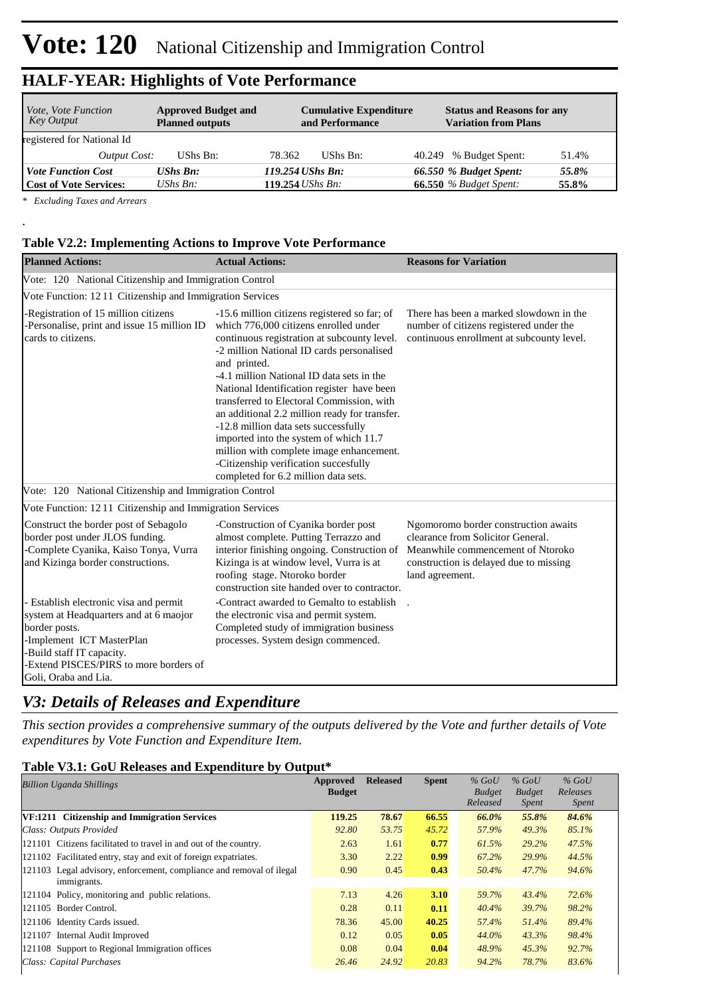| <i>Vote, Vote Function</i><br>Key Output | <b>Approved Budget and</b><br><b>Planned outputs</b> | <b>Cumulative Expenditure</b><br>and Performance | <b>Status and Reasons for any</b><br><b>Variation from Plans</b> |
|------------------------------------------|------------------------------------------------------|--------------------------------------------------|------------------------------------------------------------------|
| registered for National Id               |                                                      |                                                  |                                                                  |
| Output Cost:                             | UShs Bn:                                             | 78.362<br>UShs Bn:                               | 40.249 % Budget Spent:<br>51.4%                                  |
| <b>Vote Function Cost</b>                | <b>UShs Bn:</b>                                      | 119.254 UShs Bn:                                 | 66.550 % Budget Spent:<br>55.8%                                  |
| <b>Cost of Vote Services:</b>            | UShs $B_n$ :                                         | 119.254 <i>UShs Bn</i> :                         | <b>66.550</b> % Budget Spent:<br>55.8%                           |

*\* Excluding Taxes and Arrears*

.

#### **Table V2.2: Implementing Actions to Improve Vote Performance**

| <b>Planned Actions:</b>                                                                                                                                                                                                       | <b>Actual Actions:</b>                                                                                                                                                                                                                                                                                                                                                                                                                                                                                                                                                                                    | <b>Reasons for Variation</b>                                                                                                                                                |
|-------------------------------------------------------------------------------------------------------------------------------------------------------------------------------------------------------------------------------|-----------------------------------------------------------------------------------------------------------------------------------------------------------------------------------------------------------------------------------------------------------------------------------------------------------------------------------------------------------------------------------------------------------------------------------------------------------------------------------------------------------------------------------------------------------------------------------------------------------|-----------------------------------------------------------------------------------------------------------------------------------------------------------------------------|
| Vote: 120 National Citizenship and Immigration Control                                                                                                                                                                        |                                                                                                                                                                                                                                                                                                                                                                                                                                                                                                                                                                                                           |                                                                                                                                                                             |
| Vote Function: 1211 Citizenship and Immigration Services                                                                                                                                                                      |                                                                                                                                                                                                                                                                                                                                                                                                                                                                                                                                                                                                           |                                                                                                                                                                             |
| -Registration of 15 million citizens<br>-Personalise, print and issue 15 million ID<br>cards to citizens.                                                                                                                     | -15.6 million citizens registered so far; of<br>which 776,000 citizens enrolled under<br>continuous registration at subcounty level.<br>-2 million National ID cards personalised<br>and printed.<br>-4.1 million National ID data sets in the<br>National Identification register have been<br>transferred to Electoral Commission, with<br>an additional 2.2 million ready for transfer.<br>-12.8 million data sets successfully<br>imported into the system of which 11.7<br>million with complete image enhancement.<br>-Citizenship verification succesfully<br>completed for 6.2 million data sets. | There has been a marked slowdown in the<br>number of citizens registered under the<br>continuous enrollment at subcounty level.                                             |
| Vote: 120 National Citizenship and Immigration Control                                                                                                                                                                        |                                                                                                                                                                                                                                                                                                                                                                                                                                                                                                                                                                                                           |                                                                                                                                                                             |
| Vote Function: 1211 Citizenship and Immigration Services                                                                                                                                                                      |                                                                                                                                                                                                                                                                                                                                                                                                                                                                                                                                                                                                           |                                                                                                                                                                             |
| Construct the border post of Sebagolo<br>border post under JLOS funding.<br>-Complete Cyanika, Kaiso Tonya, Vurra<br>and Kizinga border constructions.                                                                        | -Construction of Cyanika border post<br>almost complete. Putting Terrazzo and<br>interior finishing ongoing. Construction of<br>Kizinga is at window level, Vurra is at<br>roofing stage. Ntoroko border<br>construction site handed over to contractor.                                                                                                                                                                                                                                                                                                                                                  | Ngomoromo border construction awaits<br>clearance from Solicitor General.<br>Meanwhile commencement of Ntoroko<br>construction is delayed due to missing<br>land agreement. |
| - Establish electronic visa and permit<br>system at Headquarters and at 6 maojor<br>border posts.<br>-Implement ICT MasterPlan<br>-Build staff IT capacity.<br>-Extend PISCES/PIRS to more borders of<br>Goli, Oraba and Lia. | -Contract awarded to Gemalto to establish<br>the electronic visa and permit system.<br>Completed study of immigration business<br>processes. System design commenced.                                                                                                                                                                                                                                                                                                                                                                                                                                     |                                                                                                                                                                             |

## *V3: Details of Releases and Expenditure*

*This section provides a comprehensive summary of the outputs delivered by the Vote and further details of Vote expenditures by Vote Function and Expenditure Item.*

#### **Table V3.1: GoU Releases and Expenditure by Output\***

| <b>Billion Uganda Shillings</b>                                                     | Approved<br><b>Budget</b> | <b>Released</b> | <b>Spent</b> | $%$ GoU<br><b>Budget</b><br>Released | $%$ GoU<br><b>Budget</b><br><i>Spent</i> | $%$ GoU<br>Releases<br><i>Spent</i> |
|-------------------------------------------------------------------------------------|---------------------------|-----------------|--------------|--------------------------------------|------------------------------------------|-------------------------------------|
| VF:1211 Citizenship and Immigration Services                                        | 119.25                    | 78.67           | 66.55        | 66.0%                                | 55.8%                                    | 84.6%                               |
| Class: Outputs Provided                                                             | 92.80                     | 53.75           | 45.72        | 57.9%                                | 49.3%                                    | 85.1%                               |
| 121101 Citizens facilitated to travel in and out of the country.                    | 2.63                      | 1.61            | 0.77         | 61.5%                                | 29.2%                                    | 47.5%                               |
| 121102 Facilitated entry, stay and exit of foreign expatriates.                     | 3.30                      | 2.22            | 0.99         | 67.2%                                | 29.9%                                    | 44.5%                               |
| 121103 Legal advisory, enforcement, compliance and removal of ilegal<br>immigrants. | 0.90                      | 0.45            | 0.43         | 50.4%                                | 47.7%                                    | 94.6%                               |
| 121104 Policy, monitoring and public relations.                                     | 7.13                      | 4.26            | 3.10         | 59.7%                                | 43.4%                                    | 72.6%                               |
| 121105 Border Control.                                                              | 0.28                      | 0.11            | 0.11         | 40.4%                                | 39.7%                                    | 98.2%                               |
| 121106 Identity Cards issued.                                                       | 78.36                     | 45.00           | 40.25        | 57.4%                                | 51.4%                                    | 89.4%                               |
| Internal Audit Improved<br>121107                                                   | 0.12                      | 0.05            | 0.05         | 44.0%                                | 43.3%                                    | 98.4%                               |
| 121108 Support to Regional Immigration offices                                      | 0.08                      | 0.04            | 0.04         | 48.9%                                | 45.3%                                    | 92.7%                               |
| Class: Capital Purchases                                                            | 26.46                     | 24.92           | 20.83        | 94.2%                                | 78.7%                                    | 83.6%                               |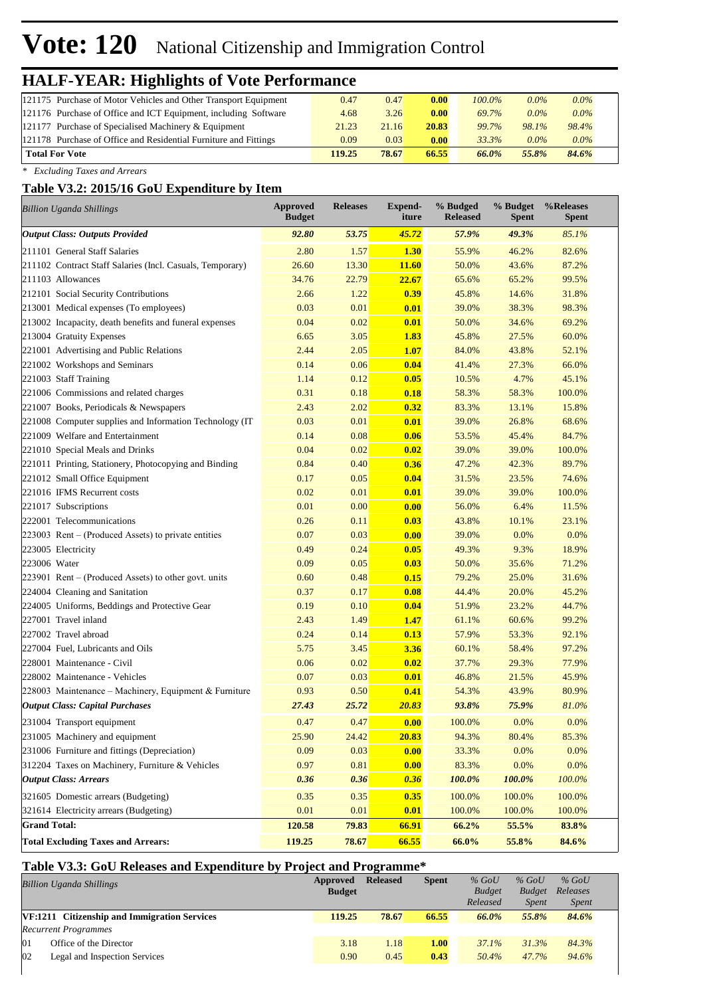# **Vote: 120** National Citizenship and Immigration Control

# **HALF-YEAR: Highlights of Vote Performance**

| 121175 Purchase of Motor Vehicles and Other Transport Equipment  | 0.47   | 0.47  | 0.00  | $100.0\%$ | $0.0\%$ | $0.0\%$ |  |
|------------------------------------------------------------------|--------|-------|-------|-----------|---------|---------|--|
| 121176 Purchase of Office and ICT Equipment, including Software  | 4.68   | 3.26  | 0.00  | 69.7%     | $0.0\%$ | $0.0\%$ |  |
| 121177 Purchase of Specialised Machinery & Equipment             | 21.23  | 21.16 | 20.83 | 99.7%     | 98.1%   | 98.4%   |  |
| 121178 Purchase of Office and Residential Furniture and Fittings | 0.09   | 0.03  | 0.00  | 33.3%     | $0.0\%$ | $0.0\%$ |  |
| <b>Total For Vote</b>                                            | 119.25 | 78.67 | 66.55 | 66.0%     | 55.8%   | 84.6%   |  |
|                                                                  |        |       |       |           |         |         |  |

*\* Excluding Taxes and Arrears*

#### **Table V3.2: 2015/16 GoU Expenditure by Item**

| <b>Billion Uganda Shillings</b>                           | Approved<br><b>Budget</b> | <b>Releases</b> | Expend-<br>iture | % Budged<br><b>Released</b> | % Budget<br><b>Spent</b> | %Releases<br><b>Spent</b> |
|-----------------------------------------------------------|---------------------------|-----------------|------------------|-----------------------------|--------------------------|---------------------------|
| <b>Output Class: Outputs Provided</b>                     | 92.80                     | 53.75           | 45.72            | 57.9%                       | 49.3%                    | 85.1%                     |
| 211101 General Staff Salaries                             | 2.80                      | 1.57            | <b>1.30</b>      | 55.9%                       | 46.2%                    | 82.6%                     |
| 211102 Contract Staff Salaries (Incl. Casuals, Temporary) | 26.60                     | 13.30           | 11.60            | 50.0%                       | 43.6%                    | 87.2%                     |
| 211103 Allowances                                         | 34.76                     | 22.79           | 22.67            | 65.6%                       | 65.2%                    | 99.5%                     |
| 212101 Social Security Contributions                      | 2.66                      | 1.22            | 0.39             | 45.8%                       | 14.6%                    | 31.8%                     |
| 213001 Medical expenses (To employees)                    | 0.03                      | 0.01            | 0.01             | 39.0%                       | 38.3%                    | 98.3%                     |
| 213002 Incapacity, death benefits and funeral expenses    | 0.04                      | 0.02            | 0.01             | 50.0%                       | 34.6%                    | 69.2%                     |
| 213004 Gratuity Expenses                                  | 6.65                      | 3.05            | 1.83             | 45.8%                       | 27.5%                    | 60.0%                     |
| 221001 Advertising and Public Relations                   | 2.44                      | 2.05            | <b>1.07</b>      | 84.0%                       | 43.8%                    | 52.1%                     |
| 221002 Workshops and Seminars                             | 0.14                      | 0.06            | 0.04             | 41.4%                       | 27.3%                    | 66.0%                     |
| 221003 Staff Training                                     | 1.14                      | 0.12            | 0.05             | 10.5%                       | 4.7%                     | 45.1%                     |
| 221006 Commissions and related charges                    | 0.31                      | 0.18            | 0.18             | 58.3%                       | 58.3%                    | 100.0%                    |
| 221007 Books, Periodicals & Newspapers                    | 2.43                      | 2.02            | 0.32             | 83.3%                       | 13.1%                    | 15.8%                     |
| 221008 Computer supplies and Information Technology (IT)  | 0.03                      | 0.01            | 0.01             | 39.0%                       | 26.8%                    | 68.6%                     |
| 221009 Welfare and Entertainment                          | 0.14                      | 0.08            | 0.06             | 53.5%                       | 45.4%                    | 84.7%                     |
| 221010 Special Meals and Drinks                           | 0.04                      | 0.02            | 0.02             | 39.0%                       | 39.0%                    | 100.0%                    |
| 221011 Printing, Stationery, Photocopying and Binding     | 0.84                      | 0.40            | 0.36             | 47.2%                       | 42.3%                    | 89.7%                     |
| 221012 Small Office Equipment                             | 0.17                      | 0.05            | 0.04             | 31.5%                       | 23.5%                    | 74.6%                     |
| 221016 IFMS Recurrent costs                               | 0.02                      | 0.01            | 0.01             | 39.0%                       | 39.0%                    | 100.0%                    |
| 221017 Subscriptions                                      | 0.01                      | 0.00            | 0.00             | 56.0%                       | 6.4%                     | 11.5%                     |
| 222001 Telecommunications                                 | 0.26                      | 0.11            | 0.03             | 43.8%                       | 10.1%                    | 23.1%                     |
| $223003$ Rent – (Produced Assets) to private entities     | 0.07                      | 0.03            | 0.00             | 39.0%                       | 0.0%                     | 0.0%                      |
| 223005 Electricity                                        | 0.49                      | 0.24            | 0.05             | 49.3%                       | 9.3%                     | 18.9%                     |
| 223006 Water                                              | 0.09                      | 0.05            | 0.03             | 50.0%                       | 35.6%                    | 71.2%                     |
| 223901 Rent – (Produced Assets) to other govt. units      | 0.60                      | 0.48            | 0.15             | 79.2%                       | 25.0%                    | 31.6%                     |
| 224004 Cleaning and Sanitation                            | 0.37                      | 0.17            | 0.08             | 44.4%                       | 20.0%                    | 45.2%                     |
| 224005 Uniforms, Beddings and Protective Gear             | 0.19                      | 0.10            | 0.04             | 51.9%                       | 23.2%                    | 44.7%                     |
| 227001 Travel inland                                      | 2.43                      | 1.49            | 1.47             | 61.1%                       | 60.6%                    | 99.2%                     |
| 227002 Travel abroad                                      | 0.24                      | 0.14            | 0.13             | 57.9%                       | 53.3%                    | 92.1%                     |
| 227004 Fuel, Lubricants and Oils                          | 5.75                      | 3.45            | 3.36             | 60.1%                       | 58.4%                    | 97.2%                     |
| 228001 Maintenance - Civil                                | 0.06                      | 0.02            | 0.02             | 37.7%                       | 29.3%                    | 77.9%                     |
| 228002 Maintenance - Vehicles                             | 0.07                      | 0.03            | 0.01             | 46.8%                       | 21.5%                    | 45.9%                     |
| 228003 Maintenance – Machinery, Equipment & Furniture     | 0.93                      | 0.50            | 0.41             | 54.3%                       | 43.9%                    | 80.9%                     |
| <b>Output Class: Capital Purchases</b>                    | 27.43                     | 25.72           | 20.83            | 93.8%                       | 75.9%                    | 81.0%                     |
| 231004 Transport equipment                                | 0.47                      | 0.47            | 0.00             | 100.0%                      | 0.0%                     | 0.0%                      |
| 231005 Machinery and equipment                            | 25.90                     | 24.42           | 20.83            | 94.3%                       | 80.4%                    | 85.3%                     |
| 231006 Furniture and fittings (Depreciation)              | 0.09                      | 0.03            | 0.00             | 33.3%                       | 0.0%                     | 0.0%                      |
| 312204 Taxes on Machinery, Furniture & Vehicles           | 0.97                      | 0.81            | 0.00             | 83.3%                       | 0.0%                     | 0.0%                      |
| <b>Output Class: Arrears</b>                              | 0.36                      | 0.36            | 0.36             | 100.0%                      | 100.0%                   | $100.0\%$                 |
| 321605 Domestic arrears (Budgeting)                       | 0.35                      | 0.35            | 0.35             | 100.0%                      | 100.0%                   | 100.0%                    |
| 321614 Electricity arrears (Budgeting)                    | 0.01                      | 0.01            | 0.01             | 100.0%                      | 100.0%                   | 100.0%                    |
| <b>Grand Total:</b>                                       | 120.58                    | 79.83           | 66.91            | 66.2%                       | 55.5%                    | 83.8%                     |
| <b>Total Excluding Taxes and Arrears:</b>                 | 119.25                    | 78.67           | 66.55            | 66.0%                       | 55.8%                    | 84.6%                     |

### **Table V3.3: GoU Releases and Expenditure by Project and Programme\***

|    | <b>Billion Uganda Shillings</b>              | Approved<br><b>Budget</b> | <b>Released</b> | <b>Spent</b> | $%$ GoU<br><b>Budget</b><br>Released | $%$ GoU<br><b>Budget</b><br><i>Spent</i> | $%$ GoU<br>Releases<br><i>Spent</i> |
|----|----------------------------------------------|---------------------------|-----------------|--------------|--------------------------------------|------------------------------------------|-------------------------------------|
|    | VF:1211 Citizenship and Immigration Services | 119.25                    | 78.67           | 66.55        | 66.0%                                | 55.8%                                    | 84.6%                               |
|    | <b>Recurrent Programmes</b>                  |                           |                 |              |                                      |                                          |                                     |
| 0  | Office of the Director                       | 3.18                      | 1.18            | 1.00         | $37.1\%$                             | 31.3%                                    | 84.3%                               |
| 02 | Legal and Inspection Services                | 0.90                      | 0.45            | 0.43         | 50.4%                                | 47.7%                                    | 94.6%                               |
|    |                                              |                           |                 |              |                                      |                                          |                                     |